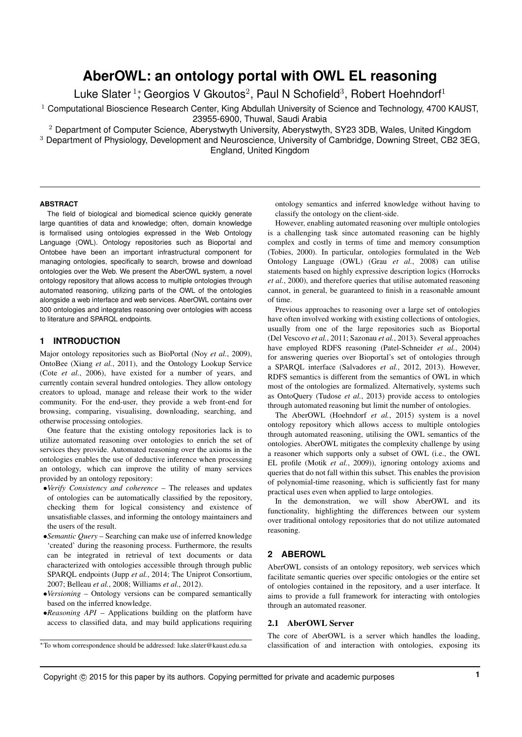# **AberOWL: an ontology portal with OWL EL reasoning**

Luke Slater<sup>1</sup>; Georgios V Gkoutos<sup>2</sup>, Paul N Schofield<sup>3</sup>, Robert Hoehndorf<sup>1</sup>

 $1$  Computational Bioscience Research Center, King Abdullah University of Science and Technology, 4700 KAUST, 23955-6900, Thuwal, Saudi Arabia

<sup>2</sup> Department of Computer Science, Aberystwyth University, Aberystwyth, SY23 3DB, Wales, United Kingdom <sup>3</sup> Department of Physiology, Development and Neuroscience, University of Cambridge, Downing Street, CB2 3EG, England, United Kingdom

#### **ABSTRACT**

The field of biological and biomedical science quickly generate large quantities of data and knowledge; often, domain knowledge is formalised using ontologies expressed in the Web Ontology Language (OWL). Ontology repositories such as Bioportal and Ontobee have been an important infrastructural component for managing ontologies, specifically to search, browse and download ontologies over the Web. We present the AberOWL system, a novel ontology repository that allows access to multiple ontologies through automated reasoning, utilizing parts of the OWL of the ontologies alongside a web interface and web services. AberOWL contains over 300 ontologies and integrates reasoning over ontologies with access to literature and SPARQL endpoints.

## **1 INTRODUCTION**

Major ontology repositories such as BioPortal (Noy *et al.*, 2009), OntoBee (Xiang *et al.*, 2011), and the Ontology Lookup Service (Cote *et al.*, 2006), have existed for a number of years, and currently contain several hundred ontologies. They allow ontology creators to upload, manage and release their work to the wider community. For the end-user, they provide a web front-end for browsing, comparing, visualising, downloading, searching, and otherwise processing ontologies.

One feature that the existing ontology repositories lack is to utilize automated reasoning over ontologies to enrich the set of services they provide. Automated reasoning over the axioms in the ontologies enables the use of deductive inference when processing an ontology, which can improve the utility of many services provided by an ontology repository:

- •*Verify Consistency and coherence* The releases and updates of ontologies can be automatically classified by the repository, checking them for logical consistency and existence of unsatisfiable classes, and informing the ontology maintainers and the users of the result.
- •*Semantic Query* Searching can make use of inferred knowledge 'created' during the reasoning process. Furthermore, the results can be integrated in retrieval of text documents or data characterized with ontologies accessible through through public SPARQL endpoints (Jupp *et al.*, 2014; The Uniprot Consortium, 2007; Belleau *et al.*, 2008; Williams *et al.*, 2012).
- •*Versioning* Ontology versions can be compared semantically based on the inferred knowledge.
- •*Reasoning API* Applications building on the platform have access to classified data, and may build applications requiring
- <sup>∗</sup>To whom correspondence should be addressed: luke.slater@kaust.edu.sa

ontology semantics and inferred knowledge without having to classify the ontology on the client-side.

However, enabling automated reasoning over multiple ontologies is a challenging task since automated reasoning can be highly complex and costly in terms of time and memory consumption (Tobies, 2000). In particular, ontologies formulated in the Web Ontology Language (OWL) (Grau *et al.*, 2008) can utilise statements based on highly expressive description logics (Horrocks *et al.*, 2000), and therefore queries that utilise automated reasoning cannot, in general, be guaranteed to finish in a reasonable amount of time.

Previous approaches to reasoning over a large set of ontologies have often involved working with existing collections of ontologies, usually from one of the large repositories such as Bioportal (Del Vescovo *et al.*, 2011; Sazonau *et al.*, 2013). Several approaches have employed RDFS reasoning (Patel-Schneider *et al.*, 2004) for answering queries over Bioportal's set of ontologies through a SPARQL interface (Salvadores *et al.*, 2012, 2013). However, RDFS semantics is different from the semantics of OWL in which most of the ontologies are formalized. Alternatively, systems such as OntoQuery (Tudose *et al.*, 2013) provide access to ontologies through automated reasoning but limit the number of ontologies.

The AberOWL (Hoehndorf *et al.*, 2015) system is a novel ontology repository which allows access to multiple ontologies through automated reasoning, utilising the OWL semantics of the ontologies. AberOWL mitigates the complexity challenge by using a reasoner which supports only a subset of OWL (i.e., the OWL EL profile (Motik *et al.*, 2009)), ignoring ontology axioms and queries that do not fall within this subset. This enables the provision of polynomial-time reasoning, which is sufficiently fast for many practical uses even when applied to large ontologies.

In the demonstration, we will show AberOWL and its functionality, highlighting the differences between our system over traditional ontology repositories that do not utilize automated reasoning.

### **2 ABEROWL**

AberOWL consists of an ontology repository, web services which facilitate semantic queries over specific ontologies or the entire set of ontologies contained in the repository, and a user interface. It aims to provide a full framework for interacting with ontologies through an automated reasoner.

#### 2.1 AberOWL Server

The core of AberOWL is a server which handles the loading, classification of and interaction with ontologies, exposing its